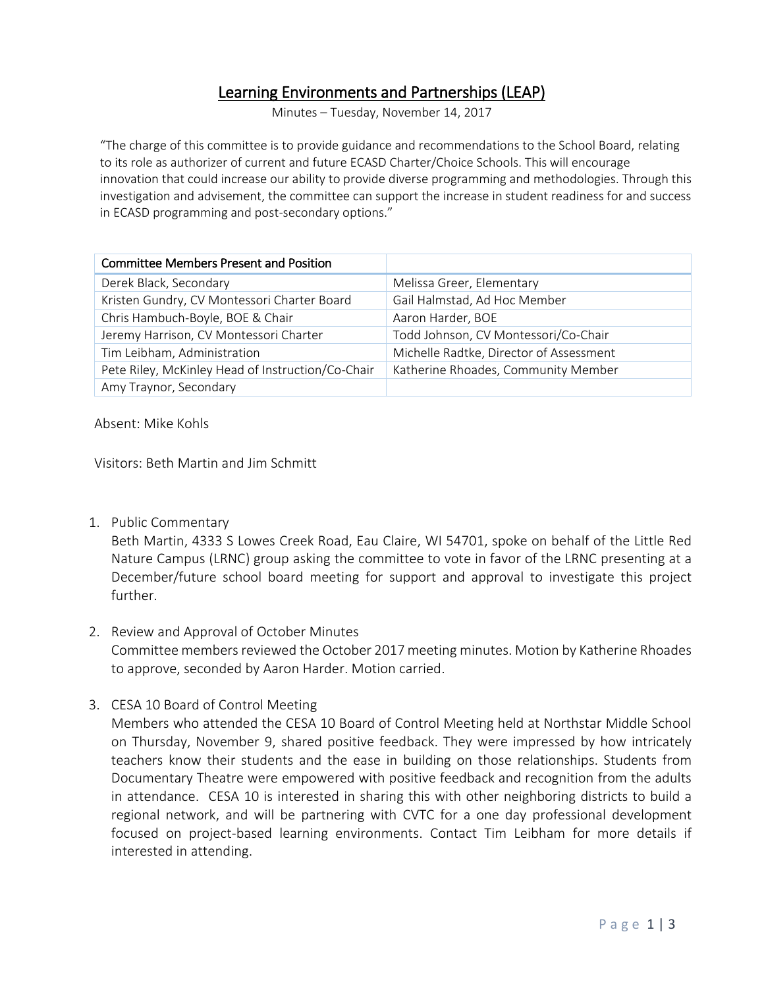## Learning Environments and Partnerships (LEAP)

Minutes – Tuesday, November 14, 2017

"The charge of this committee is to provide guidance and recommendations to the School Board, relating to its role as authorizer of current and future ECASD Charter/Choice Schools. This will encourage innovation that could increase our ability to provide diverse programming and methodologies. Through this investigation and advisement, the committee can support the increase in student readiness for and success in ECASD programming and post-secondary options."

| <b>Committee Members Present and Position</b>     |                                         |
|---------------------------------------------------|-----------------------------------------|
| Derek Black, Secondary                            | Melissa Greer, Elementary               |
| Kristen Gundry, CV Montessori Charter Board       | Gail Halmstad, Ad Hoc Member            |
| Chris Hambuch-Boyle, BOE & Chair                  | Aaron Harder, BOE                       |
| Jeremy Harrison, CV Montessori Charter            | Todd Johnson, CV Montessori/Co-Chair    |
| Tim Leibham, Administration                       | Michelle Radtke, Director of Assessment |
| Pete Riley, McKinley Head of Instruction/Co-Chair | Katherine Rhoades, Community Member     |
| Amy Traynor, Secondary                            |                                         |

Absent: Mike Kohls

Visitors: Beth Martin and Jim Schmitt

1. Public Commentary

Beth Martin, 4333 S Lowes Creek Road, Eau Claire, WI 54701, spoke on behalf of the Little Red Nature Campus (LRNC) group asking the committee to vote in favor of the LRNC presenting at a December/future school board meeting for support and approval to investigate this project further.

- 2. Review and Approval of October Minutes Committee members reviewed the October 2017 meeting minutes. Motion by Katherine Rhoades to approve, seconded by Aaron Harder. Motion carried.
- 3. CESA 10 Board of Control Meeting

Members who attended the CESA 10 Board of Control Meeting held at Northstar Middle School on Thursday, November 9, shared positive feedback. They were impressed by how intricately teachers know their students and the ease in building on those relationships. Students from Documentary Theatre were empowered with positive feedback and recognition from the adults in attendance. CESA 10 is interested in sharing this with other neighboring districts to build a regional network, and will be partnering with CVTC for a one day professional development focused on project-based learning environments. Contact Tim Leibham for more details if interested in attending.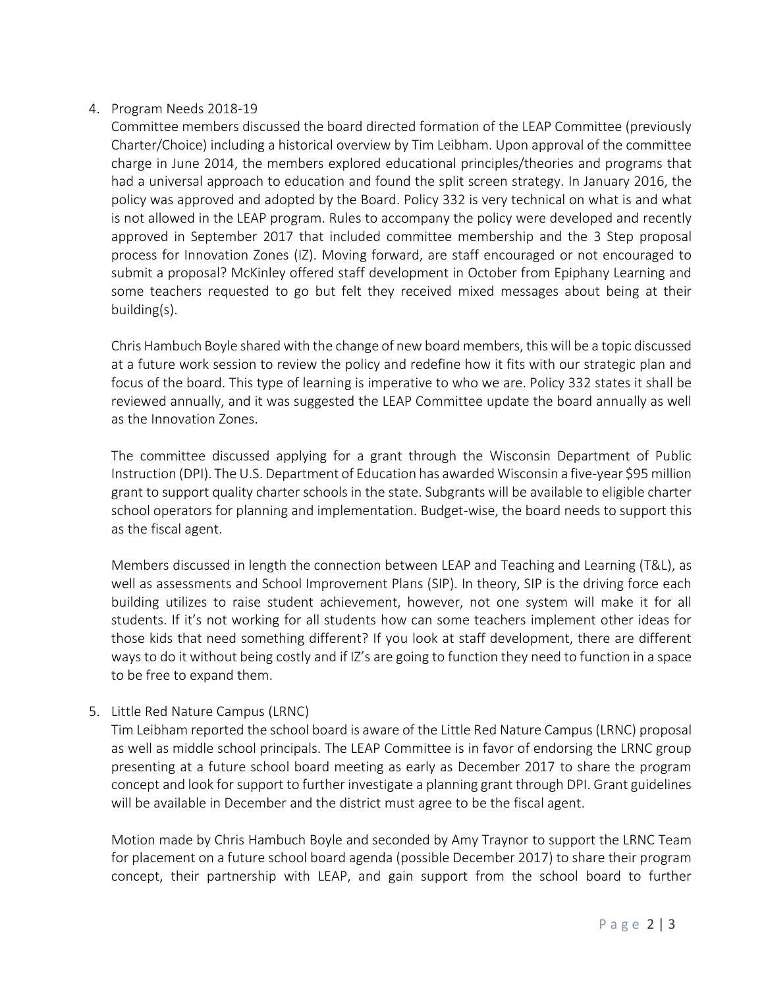## 4. Program Needs 2018-19

Committee members discussed the board directed formation of the LEAP Committee (previously Charter/Choice) including a historical overview by Tim Leibham. Upon approval of the committee charge in June 2014, the members explored educational principles/theories and programs that had a universal approach to education and found the split screen strategy. In January 2016, the policy was approved and adopted by the Board. Policy 332 is very technical on what is and what is not allowed in the LEAP program. Rules to accompany the policy were developed and recently approved in September 2017 that included committee membership and the 3 Step proposal process for Innovation Zones (IZ). Moving forward, are staff encouraged or not encouraged to submit a proposal? McKinley offered staff development in October from Epiphany Learning and some teachers requested to go but felt they received mixed messages about being at their building(s).

Chris Hambuch Boyle shared with the change of new board members, this will be a topic discussed at a future work session to review the policy and redefine how it fits with our strategic plan and focus of the board. This type of learning is imperative to who we are. Policy 332 states it shall be reviewed annually, and it was suggested the LEAP Committee update the board annually as well as the Innovation Zones.

The committee discussed applying for a grant through the Wisconsin Department of Public Instruction (DPI). The U.S. Department of Education has awarded Wisconsin a five-year \$95 million grant to support quality charter schools in the state. Subgrants will be available to eligible charter school operators for planning and implementation. Budget-wise, the board needs to support this as the fiscal agent.

Members discussed in length the connection between LEAP and Teaching and Learning (T&L), as well as assessments and School Improvement Plans (SIP). In theory, SIP is the driving force each building utilizes to raise student achievement, however, not one system will make it for all students. If it's not working for all students how can some teachers implement other ideas for those kids that need something different? If you look at staff development, there are different ways to do it without being costly and if IZ's are going to function they need to function in a space to be free to expand them.

5. Little Red Nature Campus (LRNC)

Tim Leibham reported the school board is aware of the Little Red Nature Campus (LRNC) proposal as well as middle school principals. The LEAP Committee is in favor of endorsing the LRNC group presenting at a future school board meeting as early as December 2017 to share the program concept and look for support to further investigate a planning grant through DPI. Grant guidelines will be available in December and the district must agree to be the fiscal agent.

Motion made by Chris Hambuch Boyle and seconded by Amy Traynor to support the LRNC Team for placement on a future school board agenda (possible December 2017) to share their program concept, their partnership with LEAP, and gain support from the school board to further